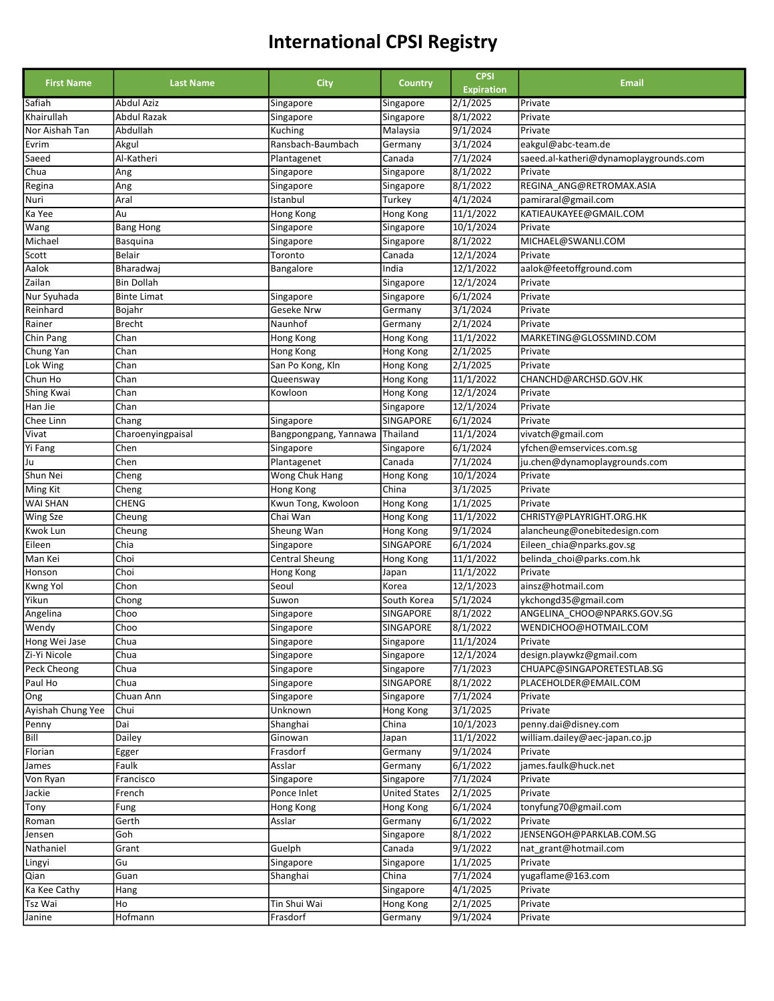| <b>First Name</b> | <b>Last Name</b>   |                       |                      | <b>CPSI</b>       | <b>Email</b>                           |
|-------------------|--------------------|-----------------------|----------------------|-------------------|----------------------------------------|
|                   |                    | <b>City</b>           | Country              | <b>Expiration</b> |                                        |
| Safiah            | <b>Abdul Aziz</b>  | Singapore             | Singapore            | 2/1/2025          | Private                                |
| Khairullah        | <b>Abdul Razak</b> | Singapore             | Singapore            | 8/1/2022          | Private                                |
| Nor Aishah Tan    | Abdullah           | Kuching               | Malaysia             | 9/1/2024          | Private                                |
| Evrim             | Akgul              | Ransbach-Baumbach     | Germany              | 3/1/2024          | eakgul@abc-team.de                     |
| Saeed             | Al-Katheri         | Plantagenet           | Canada               | 7/1/2024          | saeed.al-katheri@dynamoplaygrounds.com |
| Chua              | Ang                | Singapore             | Singapore            | 8/1/2022          | Private                                |
| Regina            | Ang                | Singapore             | Singapore            | 8/1/2022          | REGINA ANG@RETROMAX.ASIA               |
| Nuri              | Aral               | Istanbul              | Turkey               | 4/1/2024          | pamiraral@gmail.com                    |
| Ka Yee            | Au                 | Hong Kong             | Hong Kong            | 11/1/2022         | KATIEAUKAYEE@GMAIL.COM                 |
| Wang              | <b>Bang Hong</b>   | Singapore             | Singapore            | 10/1/2024         | Private                                |
| Michael           | Basquina           | Singapore             | Singapore            | 8/1/2022          | MICHAEL@SWANLI.COM                     |
| Scott             | Belair             | Toronto               | Canada               | 12/1/2024         | Private                                |
| Aalok             | Bharadwaj          | Bangalore             | India                | 12/1/2022         | aalok@feetoffground.com                |
| Zailan            | <b>Bin Dollah</b>  |                       | Singapore            | 12/1/2024         | Private                                |
| Nur Syuhada       | <b>Binte Limat</b> | Singapore             | Singapore            | 6/1/2024          | Private                                |
| Reinhard          | Bojahr             | Geseke Nrw            | Germany              | 3/1/2024          | Private                                |
| Rainer            | <b>Brecht</b>      | Naunhof               | Germany              | 2/1/2024          | Private                                |
| Chin Pang         | Chan               | Hong Kong             | Hong Kong            | 11/1/2022         | MARKETING@GLOSSMIND.COM                |
| Chung Yan         | Chan               | <b>Hong Kong</b>      | Hong Kong            | 2/1/2025          | Private                                |
| Lok Wing          | Chan               | San Po Kong, Kln      | Hong Kong            | 2/1/2025          | Private                                |
| Chun Ho           | Chan               | Queensway             | Hong Kong            | 11/1/2022         | CHANCHD@ARCHSD.GOV.HK                  |
| <b>Shing Kwai</b> | Chan               | Kowloon               | Hong Kong            | 12/1/2024         | Private                                |
| Han Jie           | Chan               |                       | Singapore            | 12/1/2024         | Private                                |
| Chee Linn         | Chang              | Singapore             | SINGAPORE            | 6/1/2024          | Private                                |
| Vivat             | Charoenyingpaisal  | Bangpongpang, Yannawa | Thailand             | 11/1/2024         | vivatch@gmail.com                      |
| Yi Fang           | Chen               | Singapore             | Singapore            | 6/1/2024          | yfchen@emservices.com.sg               |
| Ju                | Chen               | Plantagenet           | Canada               | 7/1/2024          | ju.chen@dynamoplaygrounds.com          |
| Shun Nei          | Cheng              | Wong Chuk Hang        | Hong Kong            | 10/1/2024         | Private                                |
| Ming Kit          | Cheng              | Hong Kong             | China                | 3/1/2025          | Private                                |
| WAI SHAN          | <b>CHENG</b>       | Kwun Tong, Kwoloon    | Hong Kong            | 1/1/2025          | Private                                |
| Wing Sze          | Cheung             | Chai Wan              | Hong Kong            | 11/1/2022         | CHRISTY@PLAYRIGHT.ORG.HK               |
| Kwok Lun          | Cheung             | Sheung Wan            | Hong Kong            | 9/1/2024          | alancheung@onebitedesign.com           |
| Eileen            | Chia               | Singapore             | SINGAPORE            | 6/1/2024          | Eileen_chia@nparks.gov.sg              |
| Man Kei           | Choi               | <b>Central Sheung</b> | Hong Kong            | 11/1/2022         | belinda choi@parks.com.hk              |
| Honson            | Choi               | <b>Hong Kong</b>      | Japan                | 11/1/2022         | Private                                |
| Kwng Yol          | Chon               | Seoul                 | Korea                | 12/1/2023         | ainsz@hotmail.com                      |
| Yikun             | Chong              | Suwon                 | South Korea          | 5/1/2024          | ykchongd35@gmail.com                   |
| Angelina          | Choo               | Singapore             | SINGAPORE            | 8/1/2022          | ANGELINA CHOO@NPARKS.GOV.SG            |
| Wendy             | Choo               | Singapore             | <b>SINGAPORE</b>     | 8/1/2022          | WENDICHOO@HOTMAIL.COM                  |
| Hong Wei Jase     | Chua               | Singapore             | Singapore            | 11/1/2024         | Private                                |
| Zi-Yi Nicole      | Chua               | Singapore             | Singapore            | 12/1/2024         | design.playwkz@gmail.com               |
| Peck Cheong       | Chua               | Singapore             | Singapore            | 7/1/2023          | CHUAPC@SINGAPORETESTLAB.SG             |
| Paul Ho           | Chua               | Singapore             | SINGAPORE            | 8/1/2022          | PLACEHOLDER@EMAIL.COM                  |
| Ong               | Chuan Ann          | Singapore             | Singapore            | 7/1/2024          | Private                                |
| Ayishah Chung Yee | Chui               | Unknown               | Hong Kong            | 3/1/2025          | Private                                |
| Penny             | Dai                | Shanghai              | China                | 10/1/2023         | penny.dai@disney.com                   |
| Bill              | Dailey             | Ginowan               | Japan                | 11/1/2022         | william.dailey@aec-japan.co.jp         |
| Florian           | Egger              | Frasdorf              | Germany              | 9/1/2024          | Private                                |
| James             | Faulk              | Asslar                | Germany              | 6/1/2022          | james.faulk@huck.net                   |
| Von Ryan          | Francisco          | Singapore             | Singapore            | 7/1/2024          | Private                                |
| Jackie            | French             | Ponce Inlet           | <b>United States</b> | 2/1/2025          | Private                                |
| Tony              | Fung               | Hong Kong             | Hong Kong            | 6/1/2024          | tonyfung70@gmail.com                   |
| Roman             | Gerth              | Asslar                | Germany              | 6/1/2022          | Private                                |
| Jensen            | Goh                |                       | Singapore            | 8/1/2022          | JENSENGOH@PARKLAB.COM.SG               |
| Nathaniel         | Grant              | Guelph                | Canada               | 9/1/2022          | nat_grant@hotmail.com                  |
| Lingyi            | Gu                 | Singapore             | Singapore            | 1/1/2025          | Private                                |
| Qian              | Guan               | Shanghai              | China                | 7/1/2024          | yugaflame@163.com                      |
| Ka Kee Cathy      | Hang               |                       | Singapore            | 4/1/2025          | Private                                |
| Tsz Wai           | Ho                 | Tin Shui Wai          | Hong Kong            | 2/1/2025          | Private                                |
| Janine            | Hofmann            | Frasdorf              | Germany              | 9/1/2024          | Private                                |
|                   |                    |                       |                      |                   |                                        |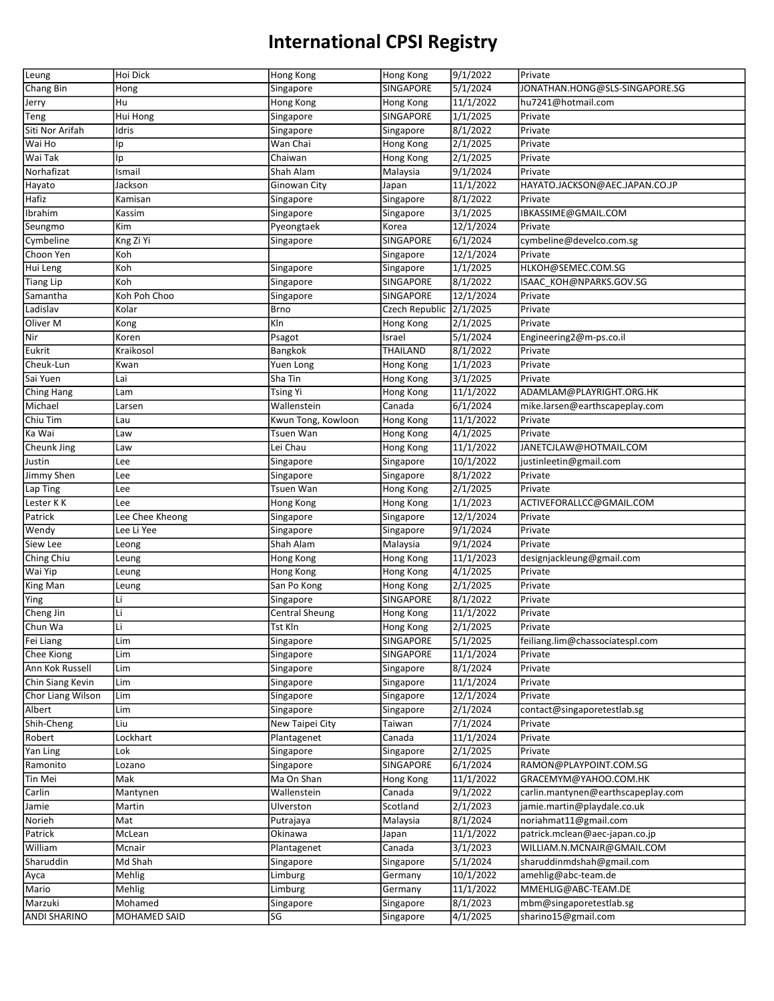| Leung                          | Hoi Dick                | Hong Kong             | Hong Kong               | 9/1/2022             | Private                                        |
|--------------------------------|-------------------------|-----------------------|-------------------------|----------------------|------------------------------------------------|
| Chang Bin                      | Hong                    | Singapore             | SINGAPORE               | 5/1/2024             | JONATHAN.HONG@SLS-SINGAPORE.SG                 |
| Jerry                          | Hu                      | Hong Kong             | Hong Kong               | 11/1/2022            | hu7241@hotmail.com                             |
| Teng                           | Hui Hong                | Singapore             | SINGAPORE               | 1/1/2025             | Private                                        |
| Siti Nor Arifah                | Idris                   | Singapore             | Singapore               | 8/1/2022             | Private                                        |
| Wai Ho                         | Ip                      | Wan Chai              | Hong Kong               | 2/1/2025             | Private                                        |
| Wai Tak                        | Ip                      | Chaiwan               | Hong Kong               | 2/1/2025             | Private                                        |
| Norhafizat                     | Ismail                  | Shah Alam             | Malaysia                | 9/1/2024             | Private                                        |
| Hayato                         | Jackson                 | Ginowan City          | Japan                   | 11/1/2022            | HAYATO.JACKSON@AEC.JAPAN.CO.JP                 |
| Hafiz                          | Kamisan                 | Singapore             | Singapore               | 8/1/2022             | Private                                        |
| Ibrahim                        | Kassim                  | Singapore             | Singapore               | 3/1/2025             | IBKASSIME@GMAIL.COM                            |
| Seungmo                        | Kim                     | Pyeongtaek            | Korea                   | 12/1/2024            | Private                                        |
| Cymbeline                      | Kng Zi Yi               |                       | SINGAPORE               | 6/1/2024             | cymbeline@develco.com.sg                       |
| Choon Yen                      | Koh                     | Singapore             |                         | 12/1/2024            | Private                                        |
|                                | Koh                     |                       | Singapore               | 1/1/2025             | HLKOH@SEMEC.COM.SG                             |
| Hui Leng                       |                         | Singapore             | Singapore               |                      |                                                |
| Tiang Lip                      | Koh                     | Singapore             | SINGAPORE               | 8/1/2022             | ISAAC KOH@NPARKS.GOV.SG                        |
| Samantha                       | Koh Poh Choo            | Singapore             | SINGAPORE               | 12/1/2024            | Private                                        |
| Ladislav                       | Kolar                   | <b>Brno</b>           | Czech Republic 2/1/2025 |                      | Private                                        |
| Oliver M                       | Kong                    | Kln                   | Hong Kong               | 2/1/2025             | Private                                        |
| Nir]                           | Koren                   | Psagot                | Israel                  | 5/1/2024             | Engineering2@m-ps.co.il                        |
| Eukrit                         | Kraikosol               | Bangkok               | THAILAND                | 8/1/2022             | Private                                        |
| Cheuk-Lun                      | Kwan                    | Yuen Long             | Hong Kong               | 1/1/2023             | Private                                        |
| Sai Yuen                       | Lai                     | Sha Tin               | Hong Kong               | 3/1/2025             | Private                                        |
| Ching Hang                     | Lam                     | <b>Tsing Yi</b>       | Hong Kong               | 11/1/2022            | ADAMLAM@PLAYRIGHT.ORG.HK                       |
| Michael                        | Larsen                  | Wallenstein           | Canada                  | 6/1/2024             | mike.larsen@earthscapeplay.com                 |
| Chiu Tim                       | Lau                     | Kwun Tong, Kowloon    | Hong Kong               | 11/1/2022            | Private                                        |
| Ka Wai                         | Law                     | Tsuen Wan             | Hong Kong               | 4/1/2025             | Private                                        |
| Cheunk Jing                    | Law                     | Lei Chau              | Hong Kong               | 11/1/2022            | JANETCJLAW@HOTMAIL.COM                         |
| Justin                         | Lee                     | Singapore             | Singapore               | 10/1/2022            | justinleetin@gmail.com                         |
| Jimmy Shen                     | Lee                     | Singapore             | Singapore               | 8/1/2022             | Private                                        |
| Lap Ting                       | Lee                     | <b>Tsuen Wan</b>      | Hong Kong               | 2/1/2025             | Private                                        |
|                                |                         |                       |                         |                      |                                                |
| Lester KK                      | Lee                     | Hong Kong             | Hong Kong               | 1/1/2023             | ACTIVEFORALLCC@GMAIL.COM                       |
| Patrick                        | Lee Chee Kheong         | Singapore             | Singapore               | 12/1/2024            | Private                                        |
| Wendy                          | Lee Li Yee              | Singapore             | Singapore               | 9/1/2024             | Private                                        |
| Siew Lee                       | Leong                   | Shah Alam             | Malaysia                | 9/1/2024             | Private                                        |
| Ching Chiu                     | Leung                   | Hong Kong             | Hong Kong               | 11/1/2023            | designjackleung@gmail.com                      |
| Wai Yip                        |                         | Hong Kong             | Hong Kong               |                      |                                                |
|                                | Leung                   |                       |                         | 4/1/2025             | Private<br>Private                             |
| King Man                       | Leung<br>Li             | San Po Kong           | Hong Kong               | 2/1/2025             |                                                |
| Ying                           |                         | Singapore             | SINGAPORE               | 8/1/2022             | Private                                        |
| Cheng Jin                      | Li                      | <b>Central Sheung</b> | Hong Kong               | 11/1/2022            | Private                                        |
| Chun Wa                        | Li                      | Tst Kln               | Hong Kong               | 2/1/2025             | Private                                        |
| Fei Liang                      | Lim                     | Singapore             | SINGAPORE               | 5/1/2025             | feiliang.lim@chassociatespl.com                |
| Chee Kiong                     | Lim                     | Singapore             | SINGAPORE               | 11/1/2024            | Private                                        |
| Ann Kok Russell                | Lim                     | Singapore             | Singapore               | 8/1/2024             | Private                                        |
| Chin Siang Kevin               | Lim                     | Singapore             | Singapore               | 11/1/2024            | Private                                        |
| Chor Liang Wilson              | Lim                     | Singapore             | Singapore               | 12/1/2024            | Private                                        |
| Albert                         | Lim                     | Singapore             | Singapore               | 2/1/2024             | contact@singaporetestlab.sg                    |
| Shih-Cheng                     | Liu                     | New Taipei City       | Taiwan                  | 7/1/2024             | Private                                        |
| Robert                         | Lockhart                | Plantagenet           | Canada                  | 11/1/2024            | Private                                        |
| Yan Ling                       | Lok                     | Singapore             | Singapore               | 2/1/2025             | Private                                        |
| Ramonito                       | Lozano                  | Singapore             | SINGAPORE               | 6/1/2024             | RAMON@PLAYPOINT.COM.SG                         |
| Tin Mei                        | Mak                     | Ma On Shan            | Hong Kong               | 11/1/2022            | GRACEMYM@YAHOO.COM.HK                          |
| Carlin                         | Mantynen                | Wallenstein           | Canada                  | 9/1/2022             | carlin.mantynen@earthscapeplay.com             |
| Jamie                          | Martin                  | Ulverston             | Scotland                | 2/1/2023             | jamie.martin@playdale.co.uk                    |
| Norieh                         | Mat                     | Putrajaya             | Malaysia                | 8/1/2024             | noriahmat11@gmail.com                          |
| Patrick                        | McLean                  | Okinawa               | Japan                   | 11/1/2022            | patrick.mclean@aec-japan.co.jp                 |
| William                        | Mcnair                  | Plantagenet           | Canada                  | 3/1/2023             | WILLIAM.N.MCNAIR@GMAIL.COM                     |
| Sharuddin                      | Md Shah                 | Singapore             | Singapore               | 5/1/2024             | sharuddinmdshah@gmail.com                      |
| Ayca                           | Mehlig                  | Limburg               | Germany                 | 10/1/2022            | amehlig@abc-team.de                            |
| Mario                          | Mehlig                  | Limburg               | Germany                 | 11/1/2022            | MMEHLIG@ABC-TEAM.DE                            |
| Marzuki<br><b>ANDI SHARINO</b> | Mohamed<br>MOHAMED SAID | Singapore             | Singapore<br>Singapore  | 8/1/2023<br>4/1/2025 | mbm@singaporetestlab.sg<br>sharino15@gmail.com |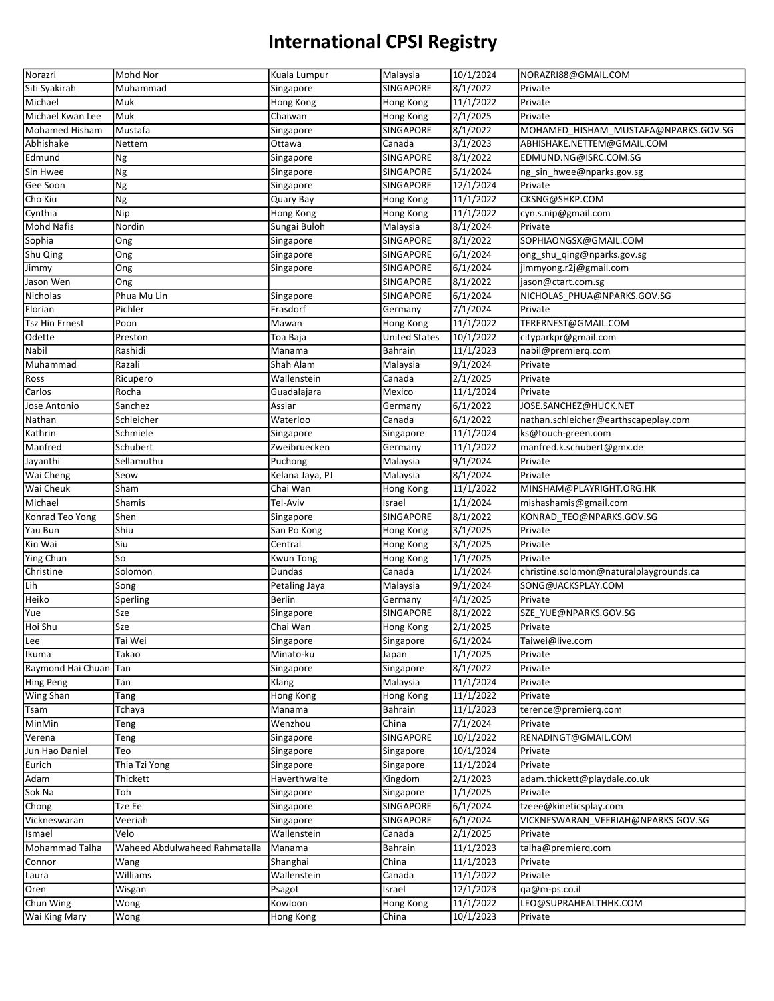| Norazri               | Mohd Nor                      | Kuala Lumpur     | Malaysia             | 10/1/2024              | NORAZRI88@GMAIL.COM                     |
|-----------------------|-------------------------------|------------------|----------------------|------------------------|-----------------------------------------|
| Siti Syakirah         | Muhammad                      | Singapore        | SINGAPORE            | 8/1/2022               | Private                                 |
| Michael               | Muk                           | Hong Kong        | Hong Kong            | 11/1/2022              | Private                                 |
| Michael Kwan Lee      | Muk                           | Chaiwan          | Hong Kong            | 2/1/2025               | Private                                 |
| <b>Mohamed Hisham</b> | Mustafa                       | Singapore        | SINGAPORE            | 8/1/2022               | MOHAMED HISHAM MUSTAFA@NPARKS.GOV.SG    |
| Abhishake             | Nettem                        | Ottawa           | Canada               | 3/1/2023               | ABHISHAKE.NETTEM@GMAIL.COM              |
| Edmund                | Ng                            | Singapore        | SINGAPORE            | 8/1/2022               | EDMUND.NG@ISRC.COM.SG                   |
| Sin Hwee              | Ng                            | Singapore        | SINGAPORE            | 5/1/2024               | ng_sin_hwee@nparks.gov.sg               |
| Gee Soon              | Ng                            | Singapore        | SINGAPORE            | 12/1/2024              | Private                                 |
| Cho Kiu               | Ng                            | Quary Bay        | Hong Kong            | 11/1/2022              | CKSNG@SHKP.COM                          |
| Cynthia               | Nip                           | Hong Kong        | Hong Kong            | 11/1/2022              | cyn.s.nip@gmail.com                     |
| Mohd Nafis            | Nordin                        | Sungai Buloh     |                      | 8/1/2024               | Private                                 |
|                       |                               |                  | Malaysia             |                        |                                         |
| Sophia                | Ong                           | Singapore        | SINGAPORE            | 8/1/2022               | SOPHIAONGSX@GMAIL.COM                   |
| Shu Qing              | Ong                           | Singapore        | SINGAPORE            | 6/1/2024               | ong_shu_qing@nparks.gov.sg              |
| Jimmy                 | Ong                           | Singapore        | SINGAPORE            | 6/1/2024               | jimmyong.r2j@gmail.com                  |
| Jason Wen             | Ong                           |                  | SINGAPORE            | 8/1/2022               | jason@ctart.com.sg                      |
| Nicholas              | Phua Mu Lin                   | Singapore        | SINGAPORE            | 6/1/2024               | NICHOLAS_PHUA@NPARKS.GOV.SG             |
| Florian               | Pichler                       | Frasdorf         | Germany              | 7/1/2024               | Private                                 |
| Tsz Hin Ernest        | Poon                          | Mawan            | Hong Kong            | 11/1/2022              | TERERNEST@GMAIL.COM                     |
| Odette                | Preston                       | Toa Baja         | <b>United States</b> | 10/1/2022              | cityparkpr@gmail.com                    |
| Nabil                 | Rashidi                       | Manama           | Bahrain              | 11/1/2023              | nabil@premierq.com                      |
| Muhammad              | Razali                        | Shah Alam        | Malaysia             | 9/1/2024               | Private                                 |
| Ross                  | Ricupero                      | Wallenstein      | Canada               | 2/1/2025               | Private                                 |
| Carlos                | Rocha                         | Guadalajara      | Mexico               | 11/1/2024              | Private                                 |
| Jose Antonio          | Sanchez                       | Asslar           | Germany              | 6/1/2022               | JOSE.SANCHEZ@HUCK.NET                   |
| Nathan                | Schleicher                    | Waterloo         | Canada               | 6/1/2022               | nathan.schleicher@earthscapeplay.com    |
| Kathrin               | Schmiele                      | Singapore        | Singapore            | 11/1/2024              | ks@touch-green.com                      |
| Manfred               | Schubert                      | Zweibruecken     | Germany              | 11/1/2022              | manfred.k.schubert@gmx.de               |
| Jayanthi              | Sellamuthu                    | Puchong          | Malaysia             | 9/1/2024               | Private                                 |
| Wai Cheng             | Seow                          | Kelana Jaya, PJ  | Malaysia             | 8/1/2024               | Private                                 |
| <b>Wai Cheuk</b>      | Sham                          | Chai Wan         | Hong Kong            | 11/1/2022              | MINSHAM@PLAYRIGHT.ORG.HK                |
|                       |                               |                  |                      |                        |                                         |
| Michael               | Shamis                        | Tel-Aviv         | Israel               |                        |                                         |
|                       |                               |                  |                      | 1/1/2024               | mishashamis@gmail.com                   |
| Konrad Teo Yong       | Shen                          | Singapore        | SINGAPORE            | 8/1/2022               | KONRAD TEO@NPARKS.GOV.SG                |
| Yau Bun               | Shiu                          | San Po Kong      | Hong Kong            | 3/1/2025               | Private                                 |
| Kin Wai               | Siu                           | Central          | Hong Kong            | 3/1/2025               | Private                                 |
| Ying Chun             | So                            | <b>Kwun Tong</b> | Hong Kong            | 1/1/2025               | Private                                 |
| Christine             | Solomon                       | Dundas           | Canada               | 1/1/2024               | christine.solomon@naturalplaygrounds.ca |
| Lih                   | Song                          | Petaling Jaya    | Malaysia             | 9/1/2024               | SONG@JACKSPLAY.COM                      |
| Heiko                 | Sperling                      | Berlin           | Germany              | 4/1/2025               | Private                                 |
| Yue                   | Sze                           | Singapore        | SINGAPORE            | 8/1/2022               | SZE YUE@NPARKS.GOV.SG                   |
| Hoi Shu               | Sze                           | Chai Wan         | Hong Kong            | 2/1/2025               | Private                                 |
| Lee                   | Tai Wei                       | Singapore        | Singapore            | 6/1/2024               | Taiwei@live.com                         |
| Ikuma                 | Takao                         | Minato-ku        | Japan                | 1/1/2025               | Private                                 |
| Raymond Hai Chuan     | Tan                           | Singapore        | Singapore            | 8/1/2022               | Private                                 |
| Hing Peng             | Tan                           | Klang            | Malaysia             | 11/1/2024              | Private                                 |
| Wing Shan             | Tang                          | Hong Kong        | Hong Kong            | 11/1/2022              | Private                                 |
| Tsam                  | Tchaya                        | Manama           | Bahrain              | 11/1/2023              | terence@premierq.com                    |
| MinMin                | Teng                          | Wenzhou          | China                | 7/1/2024               | Private                                 |
| Verena                | Teng                          | Singapore        | SINGAPORE            | 10/1/2022              | RENADINGT@GMAIL.COM                     |
| Jun Hao Daniel        | Teo                           | Singapore        | Singapore            | 10/1/2024              | Private                                 |
| Eurich                | Thia Tzi Yong                 | Singapore        | Singapore            | 11/1/2024              | Private                                 |
| Adam                  | Thickett                      | Haverthwaite     | Kingdom              | 2/1/2023               | adam.thickett@playdale.co.uk            |
| Sok Na                | Toh                           | Singapore        | Singapore            | 1/1/2025               | Private                                 |
| Chong                 | Tze Ee                        | Singapore        | SINGAPORE            | 6/1/2024               | tzeee@kineticsplay.com                  |
| Vickneswaran          | Veeriah                       | Singapore        | SINGAPORE            | 6/1/2024               | VICKNESWARAN VEERIAH@NPARKS.GOV.SG      |
| Ismael                | Velo                          | Wallenstein      | Canada               | 2/1/2025               | Private                                 |
| Mohammad Talha        | Waheed Abdulwaheed Rahmatalla | Manama           | Bahrain              | 11/1/2023              | talha@premierq.com                      |
| Connor                | Wang                          | Shanghai         | China                | 11/1/2023              | Private                                 |
| Laura                 | Williams                      | Wallenstein      | Canada               | 11/1/2022              | Private                                 |
| Oren                  | Wisgan                        | Psagot           | Israel               | 12/1/2023              | qa@m-ps.co.il                           |
| Chun Wing             | Wong                          | Kowloon          | Hong Kong            | 11/1/2022<br>10/1/2023 | LEO@SUPRAHEALTHHK.COM                   |